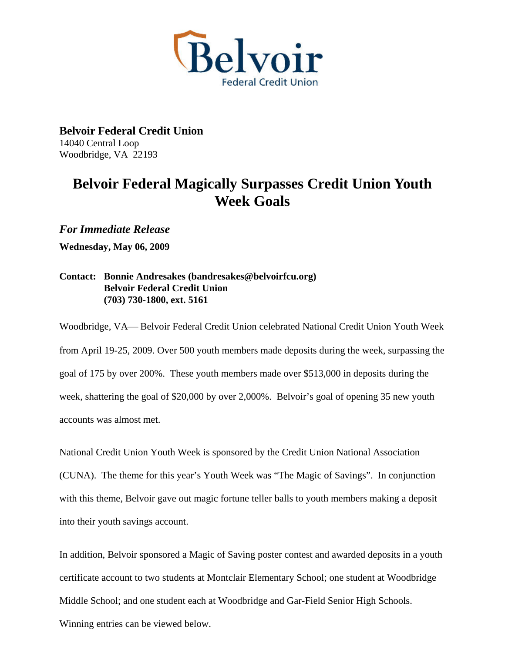

**Belvoir Federal Credit Union**  14040 Central Loop Woodbridge, VA 22193

## **Belvoir Federal Magically Surpasses Credit Union Youth Week Goals**

*For Immediate Release* 

**Wednesday, May 06, 2009** 

## **Contact: Bonnie Andresakes (bandresakes@belvoirfcu.org) Belvoir Federal Credit Union (703) 730-1800, ext. 5161**

Woodbridge, VA— Belvoir Federal Credit Union celebrated National Credit Union Youth Week from April 19-25, 2009. Over 500 youth members made deposits during the week, surpassing the goal of 175 by over 200%. These youth members made over \$513,000 in deposits during the week, shattering the goal of \$20,000 by over 2,000%. Belvoir's goal of opening 35 new youth accounts was almost met.

National Credit Union Youth Week is sponsored by the Credit Union National Association (CUNA). The theme for this year's Youth Week was "The Magic of Savings". In conjunction with this theme, Belvoir gave out magic fortune teller balls to youth members making a deposit into their youth savings account.

In addition, Belvoir sponsored a Magic of Saving poster contest and awarded deposits in a youth certificate account to two students at Montclair Elementary School; one student at Woodbridge Middle School; and one student each at Woodbridge and Gar-Field Senior High Schools. Winning entries can be viewed below.